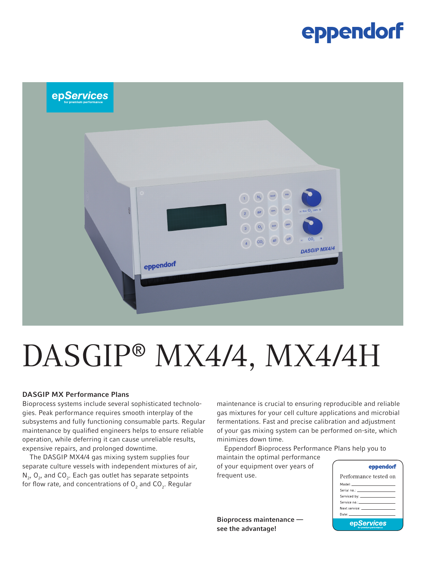### eppendorf



# DASGIP® MX4/4, MX4/4H

#### DASGIP MX Performance Plans

Bioprocess systems include several sophisticated technologies. Peak performance requires smooth interplay of the subsystems and fully functioning consumable parts. Regular maintenance by qualified engineers helps to ensure reliable operation, while deferring it can cause unreliable results, expensive repairs, and prolonged downtime.

The DASGIP MX4/4 gas mixing system supplies four separate culture vessels with independent mixtures of air,  $N_{2'}$ ,  $O_{2'}$  and  $CO_{2}$ . Each gas outlet has separate setpoints for flow rate, and concentrations of  ${\sf O}_2$  and  ${\sf CO}_2.$  Regular

maintenance is crucial to ensuring reproducible and reliable gas mixtures for your cell culture applications and microbial fermentations. Fast and precise calibration and adjustment of your gas mixing system can be performed on-site, which minimizes down time.

Eppendorf Bioprocess Performance Plans help you to

maintain the optimal performance of your equipment over years of frequent use.

Bioprocess maintenance see the advantage!

| ena<br>эπ |
|-----------|
|-----------|

| Performance tested on                                                                                                                                                                                                         |  |  |  |  |
|-------------------------------------------------------------------------------------------------------------------------------------------------------------------------------------------------------------------------------|--|--|--|--|
| Model: ____________________                                                                                                                                                                                                   |  |  |  |  |
| Serial no.; ______________________                                                                                                                                                                                            |  |  |  |  |
|                                                                                                                                                                                                                               |  |  |  |  |
| Service no.: ____________________                                                                                                                                                                                             |  |  |  |  |
| Next service: The contract of the contract of the contract of the contract of the contract of the contract of the contract of the contract of the contract of the contract of the contract of the contract of the contract of |  |  |  |  |
| Date: _______________________                                                                                                                                                                                                 |  |  |  |  |
| epServices                                                                                                                                                                                                                    |  |  |  |  |